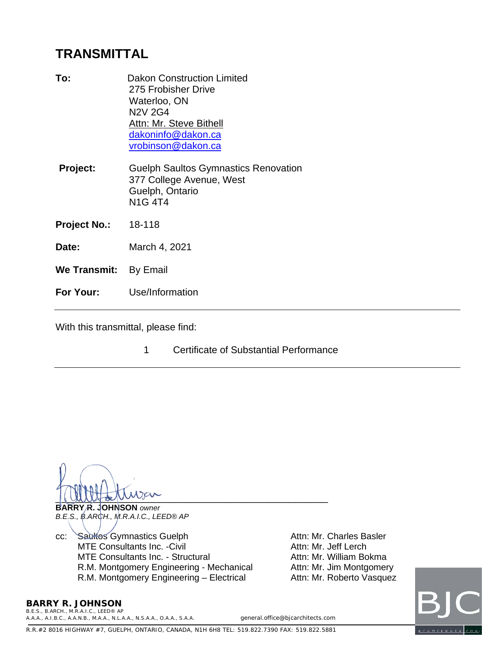## **TRANSMITTAL**

| To:                   | <b>Dakon Construction Limited</b><br>275 Frobisher Drive<br>Waterloo, ON<br><b>N2V 2G4</b><br>Attn: Mr. Steve Bithell<br>dakoninfo@dakon.ca<br>vrobinson@dakon.ca |
|-----------------------|-------------------------------------------------------------------------------------------------------------------------------------------------------------------|
| Project:              | <b>Guelph Saultos Gymnastics Renovation</b><br>377 College Avenue, West<br>Guelph, Ontario<br><b>N1G4T4</b>                                                       |
| Project No.:          | 18-118                                                                                                                                                            |
| Date:                 | March 4, 2021                                                                                                                                                     |
| We Transmit: By Email |                                                                                                                                                                   |
| For Your:             | Use/Information                                                                                                                                                   |
|                       |                                                                                                                                                                   |

With this transmittal, please find:

1 Certificate of Substantial Performance

 $\frac{1}{2}$ 

**BARRY R. JOHNSON** *owner B.E.S., B.ARCH., M.R.A.I.C., LEED® AP*

cc: Saultos Gymnastics Guelph Attn: Mr. Charles Basler<br>MTE Consultants Inc. -Civil Attn: Mr. Jeff Lerch MTE Consultants Inc. -Civil and the consultants of the Consultants Inc. -Civil<br>Attn: Mr. William Bokma<br>Attn: Mr. William Bokma MTE Consultants Inc. - Structural R.M. Montgomery Engineering - Mechanical Attn: Mr. Jim Montgomery R.M. Montgomery Engineering – Electrical Attn: Mr. Roberto Vasquez



**BARRY R. JOHNSON**

*B.E.S., B.ARCH., M.R.A.I.C., LEED® AP A.A.A., A.I.B.C., A.A.N.B., M.A.A., N.L.A.A., N.S.A.A., O.A.A., S.A.A. general.office@bjcarchitects.com*

R.R.#2 8016 HIGHWAY #7, GUELPH, ONTARIO, CANADA, N1H 6H8 TEL: 519.822.7390 FAX: 519.822.5881